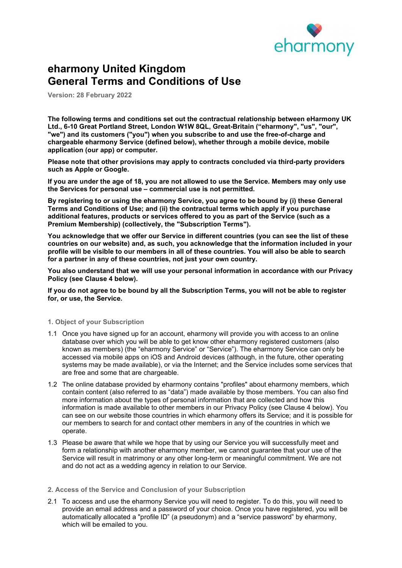

# eharmony United Kingdom General Terms and Conditions of Use

Version: 28 February 2022

The following terms and conditions set out the contractual relationship between eHarmony UK Ltd., 6-10 Great Portland Street, London W1W 8QL, Great-Britain ("eharmony", "us", "our", "we") and its customers ("you") when you subscribe to and use the free-of-charge and chargeable eharmony Service (defined below), whether through a mobile device, mobile application (our app) or computer.

Please note that other provisions may apply to contracts concluded via third-party providers such as Apple or Google.

If you are under the age of 18, you are not allowed to use the Service. Members may only use the Services for personal use – commercial use is not permitted.

By registering to or using the eharmony Service, you agree to be bound by (i) these General Terms and Conditions of Use; and (ii) the contractual terms which apply if you purchase additional features, products or services offered to you as part of the Service (such as a Premium Membership) (collectively, the "Subscription Terms").

You acknowledge that we offer our Service in different countries (you can see the list of these countries on our website) and, as such, you acknowledge that the information included in your profile will be visible to our members in all of these countries. You will also be able to search for a partner in any of these countries, not just your own country.

You also understand that we will use your personal information in accordance with our Privacy Policy (see Clause 4 below).

If you do not agree to be bound by all the Subscription Terms, you will not be able to register for, or use, the Service.

# 1. Object of your Subscription

- 1.1 Once you have signed up for an account, eharmony will provide you with access to an online database over which you will be able to get know other eharmony registered customers (also known as members) (the "eharmony Service" or "Service"). The eharmony Service can only be accessed via mobile apps on iOS and Android devices (although, in the future, other operating systems may be made available), or via the Internet; and the Service includes some services that are free and some that are chargeable.
- 1.2 The online database provided by eharmony contains "profiles" about eharmony members, which contain content (also referred to as "data") made available by those members. You can also find more information about the types of personal information that are collected and how this information is made available to other members in our Privacy Policy (see Clause 4 below). You can see on our website those countries in which eharmony offers its Service; and it is possible for our members to search for and contact other members in any of the countries in which we operate.
- 1.3 Please be aware that while we hope that by using our Service you will successfully meet and form a relationship with another eharmony member, we cannot guarantee that your use of the Service will result in matrimony or any other long-term or meaningful commitment. We are not and do not act as a wedding agency in relation to our Service.

#### 2. Access of the Service and Conclusion of your Subscription

2.1 To access and use the eharmony Service you will need to register. To do this, you will need to provide an email address and a password of your choice. Once you have registered, you will be automatically allocated a "profile ID" (a pseudonym) and a "service password" by eharmony, which will be emailed to you.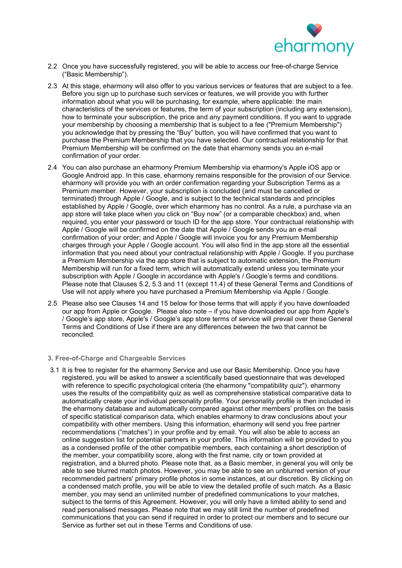

- 2.2 Once you have successfully registered, you will be able to access our free-of-charge Service ("Basic Membership").
- 2.3 At this stage, eharmony will also offer to you various services or features that are subject to a fee. Before you sign up to purchase such services or features, we will provide you with further information about what you will be purchasing, for example, where applicable: the main characteristics of the services or features, the term of your subscription (including any extension), how to terminate your subscription, the price and any payment conditions. If you want to upgrade your membership by choosing a membership that is subject to a fee ("Premium Membership") you acknowledge that by pressing the "Buy" button, you will have confirmed that you want to purchase the Premium Membership that you have selected. Our contractual relationship for that Premium Membership will be confirmed on the date that eharmony sends you an e-mail confirmation of your order.
- 2.4 You can also purchase an eharmony Premium Membership via eharmony's Apple iOS app or Google Android app. In this case, eharmony remains responsible for the provision of our Service. eharmony will provide you with an order confirmation regarding your Subscription Terms as a Premium member. However, your subscription is concluded (and must be cancelled or terminated) through Apple / Google, and is subject to the technical standards and principles established by Apple / Google, over which eharmony has no control. As a rule, a purchase via an app store will take place when you click on "Buy now" (or a comparable checkbox) and, when required, you enter your password or touch ID for the app store. Your contractual relationship with Apple / Google will be confirmed on the date that Apple / Google sends you an e-mail confirmation of your order; and Apple / Google will invoice you for any Premium Membership charges through your Apple / Google account. You will also find in the app store all the essential information that you need about your contractual relationship with Apple / Google. If you purchase a Premium Membership via the app store that is subject to automatic extension, the Premium Membership will run for a fixed term, which will automatically extend unless you terminate your subscription with Apple / Google in accordance with Apple's / Google's terms and conditions. Please note that Clauses 5.2, 5.3 and 11 (except 11.4) of these General Terms and Conditions of Use will not apply where you have purchased a Premium Membership via Apple / Google.
- 2.5 Please also see Clauses 14 and 15 below for those terms that will apply if you have downloaded our app from Apple or Google. Please also note – if you have downloaded our app from Apple's / Google's app store, Apple's / Google's app store terms of service will prevail over these General Terms and Conditions of Use if there are any differences between the two that cannot be reconciled.

#### 3. Free-of-Charge and Chargeable Services

3.1 It is free to register for the eharmony Service and use our Basic Membership. Once you have registered, you will be asked to answer a scientifically based questionnaire that was developed with reference to specific psychological criteria (the eharmony "compatibility quiz"). eharmony uses the results of the compatibility quiz as well as comprehensive statistical comparative data to automatically create your individual personality profile. Your personality profile is then included in the eharmony database and automatically compared against other members' profiles on the basis of specific statistical comparison data, which enables eharmony to draw conclusions about your compatibility with other members. Using this information, eharmony will send you free partner recommendations ("matches") in your profile and by email. You will also be able to access an online suggestion list for potential partners in your profile. This information will be provided to you as a condensed profile of the other compatible members, each containing a short description of the member, your compatibility score, along with the first name, city or town provided at registration, and a blurred photo. Please note that, as a Basic member, in general you will only be able to see blurred match photos. However, you may be able to see an unblurred version of your recommended partners' primary profile photos in some instances, at our discretion. By clicking on a condensed match profile, you will be able to view the detailed profile of such match. As a Basic member, you may send an unlimited number of predefined communications to your matches, subject to the terms of this Agreement. However, you will only have a limited ability to send and read personalised messages. Please note that we may still limit the number of predefined communications that you can send if required in order to protect our members and to secure our Service as further set out in these Terms and Conditions of use.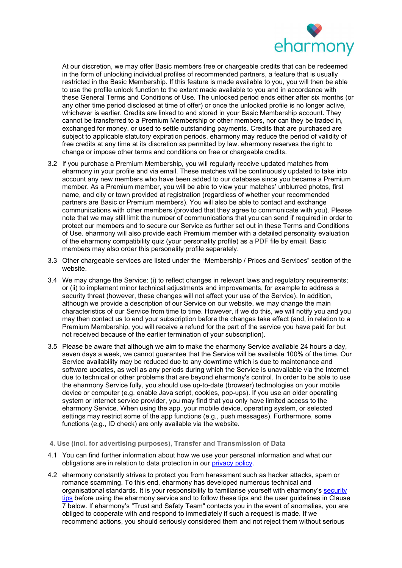

At our discretion, we may offer Basic members free or chargeable credits that can be redeemed in the form of unlocking individual profiles of recommended partners, a feature that is usually restricted in the Basic Membership. If this feature is made available to you, you will then be able to use the profile unlock function to the extent made available to you and in accordance with these General Terms and Conditions of Use. The unlocked period ends either after six months (or any other time period disclosed at time of offer) or once the unlocked profile is no longer active, whichever is earlier. Credits are linked to and stored in your Basic Membership account. They cannot be transferred to a Premium Membership or other members, nor can they be traded in, exchanged for money, or used to settle outstanding payments. Credits that are purchased are subject to applicable statutory expiration periods. eharmony may reduce the period of validity of free credits at any time at its discretion as permitted by law. eharmony reserves the right to change or impose other terms and conditions on free or chargeable credits.

- 3.2 If you purchase a Premium Membership, you will regularly receive updated matches from eharmony in your profile and via email. These matches will be continuously updated to take into account any new members who have been added to our database since you became a Premium member. As a Premium member, you will be able to view your matches' unblurred photos, first name, and city or town provided at registration (regardless of whether your recommended partners are Basic or Premium members). You will also be able to contact and exchange communications with other members (provided that they agree to communicate with you). Please note that we may still limit the number of communications that you can send if required in order to protect our members and to secure our Service as further set out in these Terms and Conditions of Use. eharmony will also provide each Premium member with a detailed personality evaluation of the eharmony compatibility quiz (your personality profile) as a PDF file by email. Basic members may also order this personality profile separately.
- 3.3 Other chargeable services are listed under the "Membership / Prices and Services" section of the website.
- 3.4 We may change the Service: (i) to reflect changes in relevant laws and regulatory requirements; or (ii) to implement minor technical adjustments and improvements, for example to address a security threat (however, these changes will not affect your use of the Service). In addition, although we provide a description of our Service on our website, we may change the main characteristics of our Service from time to time. However, if we do this, we will notify you and you may then contact us to end your subscription before the changes take effect (and, in relation to a Premium Membership, you will receive a refund for the part of the service you have paid for but not received because of the earlier termination of your subscription).
- 3.5 Please be aware that although we aim to make the eharmony Service available 24 hours a day, seven days a week, we cannot guarantee that the Service will be available 100% of the time. Our Service availability may be reduced due to any downtime which is due to maintenance and software updates, as well as any periods during which the Service is unavailable via the Internet due to technical or other problems that are beyond eharmony's control. In order to be able to use the eharmony Service fully, you should use up-to-date (browser) technologies on your mobile device or computer (e.g. enable Java script, cookies, pop-ups). If you use an older operating system or internet service provider, you may find that you only have limited access to the eharmony Service. When using the app, your mobile device, operating system, or selected settings may restrict some of the app functions (e.g., push messages). Furthermore, some functions (e.g., ID check) are only available via the website.

#### 4. Use (incl. for advertising purposes), Transfer and Transmission of Data

- 4.1 You can find further information about how we use your personal information and what our obligations are in relation to data protection in our privacy policy.
- 4.2 eharmony constantly strives to protect you from harassment such as hacker attacks, spam or romance scamming. To this end, eharmony has developed numerous technical and organisational standards. It is your responsibility to familiarise yourself with eharmony's security tips before using the eharmony service and to follow these tips and the user guidelines in Clause 7 below. If eharmony's "Trust and Safety Team" contacts you in the event of anomalies, you are obliged to cooperate with and respond to immediately if such a request is made. If we recommend actions, you should seriously considered them and not reject them without serious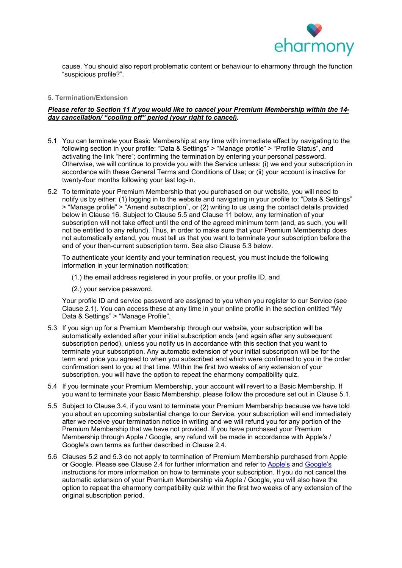

cause. You should also report problematic content or behaviour to eharmony through the function "suspicious profile?".

# 5. Termination/Extension

# Please refer to Section 11 if you would like to cancel your Premium Membership within the 14 day cancellation/ "cooling off" period (your right to cancel).

- 5.1 You can terminate your Basic Membership at any time with immediate effect by navigating to the following section in your profile: "Data & Settings" > "Manage profile" > "Profile Status", and activating the link "here"; confirming the termination by entering your personal password. Otherwise, we will continue to provide you with the Service unless: (i) we end your subscription in accordance with these General Terms and Conditions of Use; or (ii) your account is inactive for twenty-four months following your last log-in.
- 5.2 To terminate your Premium Membership that you purchased on our website, you will need to notify us by either: (1) logging in to the website and navigating in your profile to: "Data & Settings" > "Manage profile" > "Amend subscription", or (2) writing to us using the contact details provided below in Clause 16. Subject to Clause 5.5 and Clause 11 below, any termination of your subscription will not take effect until the end of the agreed minimum term (and, as such, you will not be entitled to any refund). Thus, in order to make sure that your Premium Membership does not automatically extend, you must tell us that you want to terminate your subscription before the end of your then-current subscription term. See also Clause 5.3 below.

To authenticate your identity and your termination request, you must include the following information in your termination notification:

- (1.) the email address registered in your profile, or your profile ID, and
- (2.) your service password.

Your profile ID and service password are assigned to you when you register to our Service (see Clause 2.1). You can access these at any time in your online profile in the section entitled "My Data & Settings" > "Manage Profile".

- 5.3 If you sign up for a Premium Membership through our website, your subscription will be automatically extended after your initial subscription ends (and again after any subsequent subscription period), unless you notify us in accordance with this section that you want to terminate your subscription. Any automatic extension of your initial subscription will be for the term and price you agreed to when you subscribed and which were confirmed to you in the order confirmation sent to you at that time. Within the first two weeks of any extension of your subscription, you will have the option to repeat the eharmony compatibility quiz.
- 5.4 If you terminate your Premium Membership, your account will revert to a Basic Membership. If you want to terminate your Basic Membership, please follow the procedure set out in Clause 5.1.
- 5.5 Subject to Clause 3.4, if you want to terminate your Premium Membership because we have told you about an upcoming substantial change to our Service, your subscription will end immediately after we receive your termination notice in writing and we will refund you for any portion of the Premium Membership that we have not provided. If you have purchased your Premium Membership through Apple / Google, any refund will be made in accordance with Apple's / Google's own terms as further described in Clause 2.4.
- 5.6 Clauses 5.2 and 5.3 do not apply to termination of Premium Membership purchased from Apple or Google. Please see Clause 2.4 for further information and refer to Apple's and Google's instructions for more information on how to terminate your subscription. If you do not cancel the automatic extension of your Premium Membership via Apple / Google, you will also have the option to repeat the eharmony compatibility quiz within the first two weeks of any extension of the original subscription period.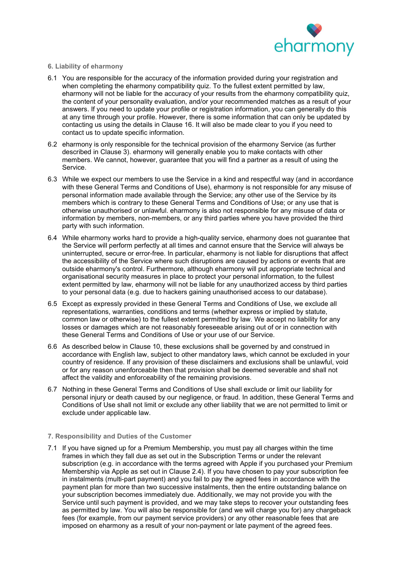

## 6. Liability of eharmony

- 6.1 You are responsible for the accuracy of the information provided during your registration and when completing the eharmony compatibility quiz. To the fullest extent permitted by law, eharmony will not be liable for the accuracy of your results from the eharmony compatibility quiz, the content of your personality evaluation, and/or your recommended matches as a result of your answers. If you need to update your profile or registration information, you can generally do this at any time through your profile. However, there is some information that can only be updated by contacting us using the details in Clause 16. It will also be made clear to you if you need to contact us to update specific information.
- 6.2 eharmony is only responsible for the technical provision of the eharmony Service (as further described in Clause 3). eharmony will generally enable you to make contacts with other members. We cannot, however, guarantee that you will find a partner as a result of using the Service.
- 6.3 While we expect our members to use the Service in a kind and respectful way (and in accordance with these General Terms and Conditions of Use), eharmony is not responsible for any misuse of personal information made available through the Service; any other use of the Service by its members which is contrary to these General Terms and Conditions of Use; or any use that is otherwise unauthorised or unlawful. eharmony is also not responsible for any misuse of data or information by members, non-members, or any third parties where you have provided the third party with such information.
- 6.4 While eharmony works hard to provide a high-quality service, eharmony does not guarantee that the Service will perform perfectly at all times and cannot ensure that the Service will always be uninterrupted, secure or error-free. In particular, eharmony is not liable for disruptions that affect the accessibility of the Service where such disruptions are caused by actions or events that are outside eharmony's control. Furthermore, although eharmony will put appropriate technical and organisational security measures in place to protect your personal information, to the fullest extent permitted by law, eharmony will not be liable for any unauthorized access by third parties to your personal data (e.g. due to hackers gaining unauthorised access to our database).
- 6.5 Except as expressly provided in these General Terms and Conditions of Use, we exclude all representations, warranties, conditions and terms (whether express or implied by statute, common law or otherwise) to the fullest extent permitted by law. We accept no liability for any losses or damages which are not reasonably foreseeable arising out of or in connection with these General Terms and Conditions of Use or your use of our Service.
- 6.6 As described below in Clause 10, these exclusions shall be governed by and construed in accordance with English law, subject to other mandatory laws, which cannot be excluded in your country of residence. If any provision of these disclaimers and exclusions shall be unlawful, void or for any reason unenforceable then that provision shall be deemed severable and shall not affect the validity and enforceability of the remaining provisions.
- 6.7 Nothing in these General Terms and Conditions of Use shall exclude or limit our liability for personal injury or death caused by our negligence, or fraud. In addition, these General Terms and Conditions of Use shall not limit or exclude any other liability that we are not permitted to limit or exclude under applicable law.

## 7. Responsibility and Duties of the Customer

7.1 If you have signed up for a Premium Membership, you must pay all charges within the time frames in which they fall due as set out in the Subscription Terms or under the relevant subscription (e.g. in accordance with the terms agreed with Apple if you purchased your Premium Membership via Apple as set out in Clause 2.4). If you have chosen to pay your subscription fee in instalments (multi-part payment) and you fail to pay the agreed fees in accordance with the payment plan for more than two successive instalments, then the entire outstanding balance on your subscription becomes immediately due. Additionally, we may not provide you with the Service until such payment is provided, and we may take steps to recover your outstanding fees as permitted by law. You will also be responsible for (and we will charge you for) any chargeback fees (for example, from our payment service providers) or any other reasonable fees that are imposed on eharmony as a result of your non-payment or late payment of the agreed fees.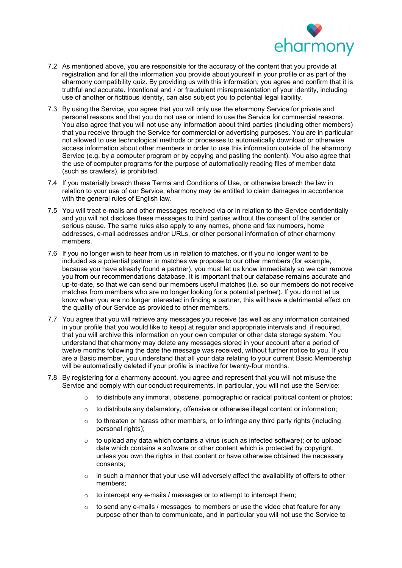

- 7.2 As mentioned above, you are responsible for the accuracy of the content that you provide at registration and for all the information you provide about yourself in your profile or as part of the eharmony compatibility quiz. By providing us with this information, you agree and confirm that it is truthful and accurate. Intentional and / or fraudulent misrepresentation of your identity, including use of another or fictitious identity, can also subject you to potential legal liability.
- 7.3 By using the Service, you agree that you will only use the eharmony Service for private and personal reasons and that you do not use or intend to use the Service for commercial reasons. You also agree that you will not use any information about third parties (including other members) that you receive through the Service for commercial or advertising purposes. You are in particular not allowed to use technological methods or processes to automatically download or otherwise access information about other members in order to use this information outside of the eharmony Service (e.g. by a computer program or by copying and pasting the content). You also agree that the use of computer programs for the purpose of automatically reading files of member data (such as crawlers), is prohibited.
- 7.4 If you materially breach these Terms and Conditions of Use, or otherwise breach the law in relation to your use of our Service, eharmony may be entitled to claim damages in accordance with the general rules of English law.
- 7.5 You will treat e-mails and other messages received via or in relation to the Service confidentially and you will not disclose these messages to third parties without the consent of the sender or serious cause. The same rules also apply to any names, phone and fax numbers, home addresses, e-mail addresses and/or URLs, or other personal information of other eharmony members.
- 7.6 If you no longer wish to hear from us in relation to matches, or if you no longer want to be included as a potential partner in matches we propose to our other members (for example, because you have already found a partner), you must let us know immediately so we can remove you from our recommendations database. It is important that our database remains accurate and up-to-date, so that we can send our members useful matches (i.e. so our members do not receive matches from members who are no longer looking for a potential partner). If you do not let us know when you are no longer interested in finding a partner, this will have a detrimental effect on the quality of our Service as provided to other members.
- 7.7 You agree that you will retrieve any messages you receive (as well as any information contained in your profile that you would like to keep) at regular and appropriate intervals and, if required, that you will archive this information on your own computer or other data storage system. You understand that eharmony may delete any messages stored in your account after a period of twelve months following the date the message was received, without further notice to you. If you are a Basic member, you understand that all your data relating to your current Basic Membership will be automatically deleted if your profile is inactive for twenty-four months.
- 7.8 By registering for a eharmony account, you agree and represent that you will not misuse the Service and comply with our conduct requirements. In particular, you will not use the Service:
	- $\circ$  to distribute any immoral, obscene, pornographic or radical political content or photos;
	- o to distribute any defamatory, offensive or otherwise illegal content or information;
	- $\circ$  to threaten or harass other members, or to infringe any third party rights (including personal rights);
	- $\circ$  to upload any data which contains a virus (such as infected software); or to upload data which contains a software or other content which is protected by copyright, unless you own the rights in that content or have otherwise obtained the necessary consents;
	- o in such a manner that your use will adversely affect the availability of offers to other members;
	- o to intercept any e-mails / messages or to attempt to intercept them;
	- $\circ$  to send any e-mails / messages to members or use the video chat feature for any purpose other than to communicate, and in particular you will not use the Service to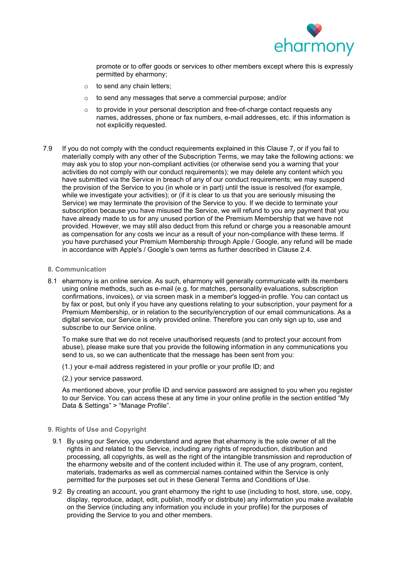

promote or to offer goods or services to other members except where this is expressly permitted by eharmony;

- $\circ$  to send any chain letters;
- o to send any messages that serve a commercial purpose; and/or
- $\circ$  to provide in your personal description and free-of-charge contact requests any names, addresses, phone or fax numbers, e-mail addresses, etc. if this information is not explicitly requested.
- 7.9 If you do not comply with the conduct requirements explained in this Clause 7, or if you fail to materially comply with any other of the Subscription Terms, we may take the following actions: we may ask you to stop your non-compliant activities (or otherwise send you a warning that your activities do not comply with our conduct requirements); we may delete any content which you have submitted via the Service in breach of any of our conduct requirements; we may suspend the provision of the Service to you (in whole or in part) until the issue is resolved (for example, while we investigate your activities); or (if it is clear to us that you are seriously misusing the Service) we may terminate the provision of the Service to you. If we decide to terminate your subscription because you have misused the Service, we will refund to you any payment that you have already made to us for any unused portion of the Premium Membership that we have not provided. However, we may still also deduct from this refund or charge you a reasonable amount as compensation for any costs we incur as a result of your non-compliance with these terms. If you have purchased your Premium Membership through Apple / Google, any refund will be made in accordance with Apple's / Google's own terms as further described in Clause 2.4.
	- 8. Communication
	- 8.1 eharmony is an online service. As such, eharmony will generally communicate with its members using online methods, such as e-mail (e.g. for matches, personality evaluations, subscription confirmations, invoices), or via screen mask in a member's logged-in profile. You can contact us by fax or post, but only if you have any questions relating to your subscription, your payment for a Premium Membership, or in relation to the security/encryption of our email communications. As a digital service, our Service is only provided online. Therefore you can only sign up to, use and subscribe to our Service online.

To make sure that we do not receive unauthorised requests (and to protect your account from abuse), please make sure that you provide the following information in any communications you send to us, so we can authenticate that the message has been sent from you:

(1.) your e-mail address registered in your profile or your profile ID; and

(2.) your service password.

As mentioned above, your profile ID and service password are assigned to you when you register to our Service. You can access these at any time in your online profile in the section entitled "My Data & Settings" > "Manage Profile".

## 9. Rights of Use and Copyright

- 9.1 By using our Service, you understand and agree that eharmony is the sole owner of all the rights in and related to the Service, including any rights of reproduction, distribution and processing, all copyrights, as well as the right of the intangible transmission and reproduction of the eharmony website and of the content included within it. The use of any program, content, materials, trademarks as well as commercial names contained within the Service is only permitted for the purposes set out in these General Terms and Conditions of Use.
- 9.2 By creating an account, you grant eharmony the right to use (including to host, store, use, copy, display, reproduce, adapt, edit, publish, modify or distribute) any information you make available on the Service (including any information you include in your profile) for the purposes of providing the Service to you and other members.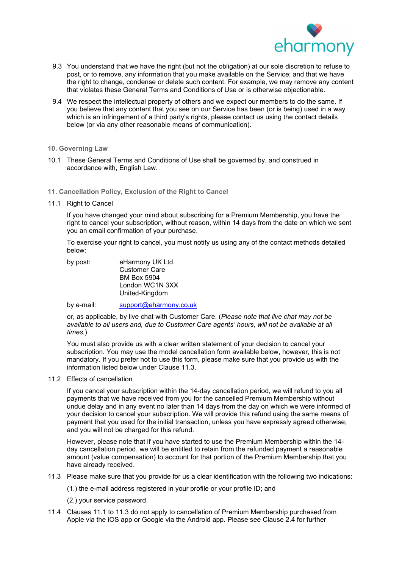

- 9.3 You understand that we have the right (but not the obligation) at our sole discretion to refuse to post, or to remove, any information that you make available on the Service; and that we have the right to change, condense or delete such content. For example, we may remove any content that violates these General Terms and Conditions of Use or is otherwise objectionable.
- 9.4 We respect the intellectual property of others and we expect our members to do the same. If you believe that any content that you see on our Service has been (or is being) used in a way which is an infringement of a third party's rights, please contact us using the contact details below (or via any other reasonable means of communication).

## 10. Governing Law

- 10.1 These General Terms and Conditions of Use shall be governed by, and construed in accordance with, English Law.
- 11. Cancellation Policy, Exclusion of the Right to Cancel
- 11.1 Right to Cancel

If you have changed your mind about subscribing for a Premium Membership, you have the right to cancel your subscription, without reason, within 14 days from the date on which we sent you an email confirmation of your purchase.

To exercise your right to cancel, you must notify us using any of the contact methods detailed below:

| by post: | eHarmony UK Ltd.     |
|----------|----------------------|
|          | <b>Customer Care</b> |
|          | <b>BM Box 5904</b>   |
|          | London WC1N 3XX      |
|          | United-Kingdom       |
|          |                      |

by e-mail: support@eharmony.co.uk

or, as applicable, by live chat with Customer Care. (Please note that live chat may not be available to all users and, due to Customer Care agents' hours, will not be available at all times.)

You must also provide us with a clear written statement of your decision to cancel your subscription. You may use the model cancellation form available below, however, this is not mandatory. If you prefer not to use this form, please make sure that you provide us with the information listed below under Clause 11.3.

#### 11.2 Effects of cancellation

If you cancel your subscription within the 14-day cancellation period, we will refund to you all payments that we have received from you for the cancelled Premium Membership without undue delay and in any event no later than 14 days from the day on which we were informed of your decision to cancel your subscription. We will provide this refund using the same means of payment that you used for the initial transaction, unless you have expressly agreed otherwise; and you will not be charged for this refund.

However, please note that if you have started to use the Premium Membership within the 14 day cancellation period, we will be entitled to retain from the refunded payment a reasonable amount (value compensation) to account for that portion of the Premium Membership that you have already received.

11.3 Please make sure that you provide for us a clear identification with the following two indications:

(1.) the e-mail address registered in your profile or your profile ID; and

(2.) your service password.

11.4 Clauses 11.1 to 11.3 do not apply to cancellation of Premium Membership purchased from Apple via the iOS app or Google via the Android app. Please see Clause 2.4 for further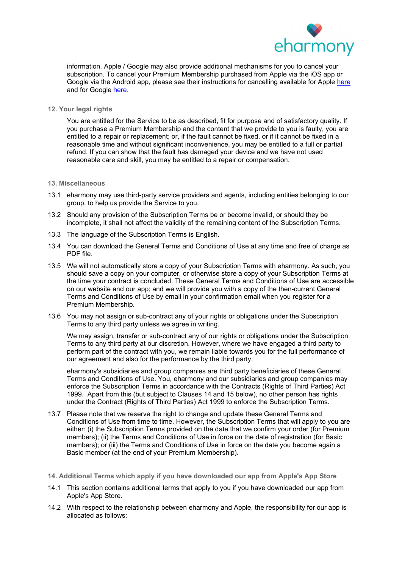

information. Apple / Google may also provide additional mechanisms for you to cancel your subscription. To cancel your Premium Membership purchased from Apple via the iOS app or Google via the Android app, please see their instructions for cancelling available for Apple here and for Google here.

#### 12. Your legal rights

You are entitled for the Service to be as described, fit for purpose and of satisfactory quality. If you purchase a Premium Membership and the content that we provide to you is faulty, you are entitled to a repair or replacement; or, if the fault cannot be fixed, or if it cannot be fixed in a reasonable time and without significant inconvenience, you may be entitled to a full or partial refund. If you can show that the fault has damaged your device and we have not used reasonable care and skill, you may be entitled to a repair or compensation.

#### 13. Miscellaneous

- 13.1 eharmony may use third-party service providers and agents, including entities belonging to our group, to help us provide the Service to you.
- 13.2 Should any provision of the Subscription Terms be or become invalid, or should they be incomplete, it shall not affect the validity of the remaining content of the Subscription Terms.
- 13.3 The language of the Subscription Terms is English.
- 13.4 You can download the General Terms and Conditions of Use at any time and free of charge as PDF file.
- 13.5 We will not automatically store a copy of your Subscription Terms with eharmony. As such, you should save a copy on your computer, or otherwise store a copy of your Subscription Terms at the time your contract is concluded. These General Terms and Conditions of Use are accessible on our website and our app; and we will provide you with a copy of the then-current General Terms and Conditions of Use by email in your confirmation email when you register for a Premium Membership.
- 13.6 You may not assign or sub-contract any of your rights or obligations under the Subscription Terms to any third party unless we agree in writing.

We may assign, transfer or sub-contract any of our rights or obligations under the Subscription Terms to any third party at our discretion. However, where we have engaged a third party to perform part of the contract with you, we remain liable towards you for the full performance of our agreement and also for the performance by the third party.

eharmony's subsidiaries and group companies are third party beneficiaries of these General Terms and Conditions of Use. You, eharmony and our subsidiaries and group companies may enforce the Subscription Terms in accordance with the Contracts (Rights of Third Parties) Act 1999. Apart from this (but subject to Clauses 14 and 15 below), no other person has rights under the Contract (Rights of Third Parties) Act 1999 to enforce the Subscription Terms.

- 13.7 Please note that we reserve the right to change and update these General Terms and Conditions of Use from time to time. However, the Subscription Terms that will apply to you are either: (i) the Subscription Terms provided on the date that we confirm your order (for Premium members); (ii) the Terms and Conditions of Use in force on the date of registration (for Basic members); or (iii) the Terms and Conditions of Use in force on the date you become again a Basic member (at the end of your Premium Membership).
- 14. Additional Terms which apply if you have downloaded our app from Apple's App Store
- 14.1 This section contains additional terms that apply to you if you have downloaded our app from Apple's App Store.
- 14.2 With respect to the relationship between eharmony and Apple, the responsibility for our app is allocated as follows: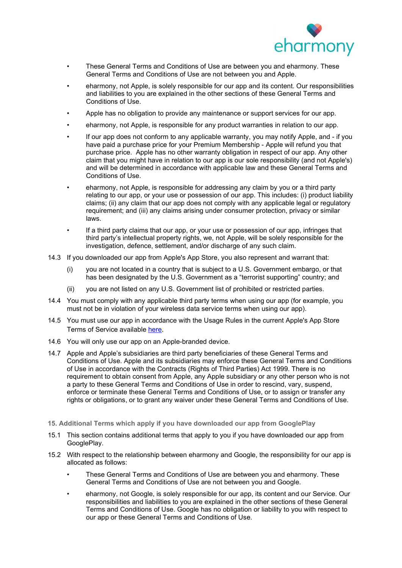

- These General Terms and Conditions of Use are between you and eharmony. These General Terms and Conditions of Use are not between you and Apple.
- eharmony, not Apple, is solely responsible for our app and its content. Our responsibilities and liabilities to you are explained in the other sections of these General Terms and Conditions of Use.
- Apple has no obligation to provide any maintenance or support services for our app.
- eharmony, not Apple, is responsible for any product warranties in relation to our app.
- If our app does not conform to any applicable warranty, you may notify Apple, and if you have paid a purchase price for your Premium Membership - Apple will refund you that purchase price. Apple has no other warranty obligation in respect of our app. Any other claim that you might have in relation to our app is our sole responsibility (and not Apple's) and will be determined in accordance with applicable law and these General Terms and Conditions of Use.
- eharmony, not Apple, is responsible for addressing any claim by you or a third party relating to our app, or your use or possession of our app. This includes: (i) product liability claims; (ii) any claim that our app does not comply with any applicable legal or regulatory requirement; and (iii) any claims arising under consumer protection, privacy or similar laws.
- If a third party claims that our app, or your use or possession of our app, infringes that third party's intellectual property rights, we, not Apple, will be solely responsible for the investigation, defence, settlement, and/or discharge of any such claim.
- 14.3 If you downloaded our app from Apple's App Store, you also represent and warrant that:
	- (i) you are not located in a country that is subject to a U.S. Government embargo, or that has been designated by the U.S. Government as a "terrorist supporting" country; and
	- (ii) you are not listed on any U.S. Government list of prohibited or restricted parties.
- 14.4 You must comply with any applicable third party terms when using our app (for example, you must not be in violation of your wireless data service terms when using our app).
- 14.5 You must use our app in accordance with the Usage Rules in the current Apple's App Store Terms of Service available here.
- 14.6 You will only use our app on an Apple-branded device.
- 14.7 Apple and Apple's subsidiaries are third party beneficiaries of these General Terms and Conditions of Use. Apple and its subsidiaries may enforce these General Terms and Conditions of Use in accordance with the Contracts (Rights of Third Parties) Act 1999. There is no requirement to obtain consent from Apple, any Apple subsidiary or any other person who is not a party to these General Terms and Conditions of Use in order to rescind, vary, suspend, enforce or terminate these General Terms and Conditions of Use, or to assign or transfer any rights or obligations, or to grant any waiver under these General Terms and Conditions of Use.
- 15. Additional Terms which apply if you have downloaded our app from GooglePlay
- 15.1 This section contains additional terms that apply to you if you have downloaded our app from GooglePlay.
- 15.2 With respect to the relationship between eharmony and Google, the responsibility for our app is allocated as follows:
	- These General Terms and Conditions of Use are between you and eharmony. These General Terms and Conditions of Use are not between you and Google.
	- eharmony, not Google, is solely responsible for our app, its content and our Service. Our responsibilities and liabilities to you are explained in the other sections of these General Terms and Conditions of Use. Google has no obligation or liability to you with respect to our app or these General Terms and Conditions of Use.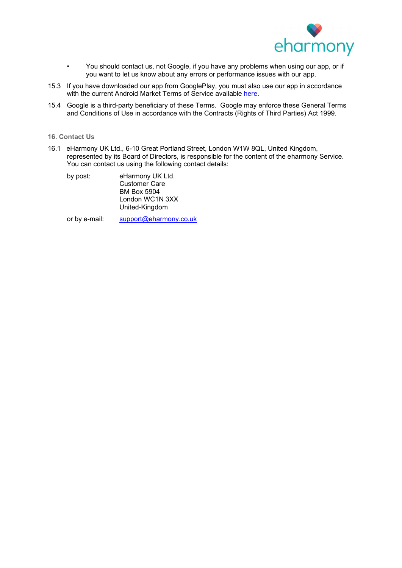

- You should contact us, not Google, if you have any problems when using our app, or if you want to let us know about any errors or performance issues with our app.
- 15.3 If you have downloaded our app from GooglePlay, you must also use our app in accordance with the current Android Market Terms of Service available here.
- 15.4 Google is a third-party beneficiary of these Terms. Google may enforce these General Terms and Conditions of Use in accordance with the Contracts (Rights of Third Parties) Act 1999.
- 16. Contact Us
- 16.1 eHarmony UK Ltd., 6-10 Great Portland Street, London W1W 8QL, United Kingdom, represented by its Board of Directors, is responsible for the content of the eharmony Service. You can contact us using the following contact details:

| by post: | eHarmony UK Ltd.     |
|----------|----------------------|
|          | <b>Customer Care</b> |
|          | <b>BM Box 5904</b>   |
|          | London WC1N 3XX      |
|          | United-Kingdom       |

or by e-mail: support@eharmony.co.uk